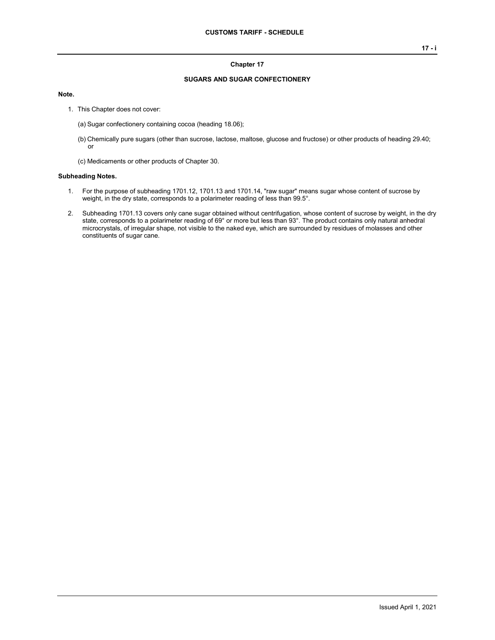### **Chapter 17**

### **SUGARS AND SUGAR CONFECTIONERY**

#### **Note.**

- 1. This Chapter does not cover:
	- (a) Sugar confectionery containing cocoa (heading 18.06);
	- (b) Chemically pure sugars (other than sucrose, lactose, maltose, glucose and fructose) or other products of heading 29.40; or
	- (c) Medicaments or other products of Chapter 30.

### **Subheading Notes.**

- 1. For the purpose of subheading 1701.12, 1701.13 and 1701.14, "raw sugar" means sugar whose content of sucrose by weight, in the dry state, corresponds to a polarimeter reading of less than 99.5°.
- 2. Subheading 1701.13 covers only cane sugar obtained without centrifugation, whose content of sucrose by weight, in the dry state, corresponds to a polarimeter reading of 69° or more but less than 93°. The product contains only natural anhedral microcrystals, of irregular shape, not visible to the naked eye, which are surrounded by residues of molasses and other constituents of sugar cane.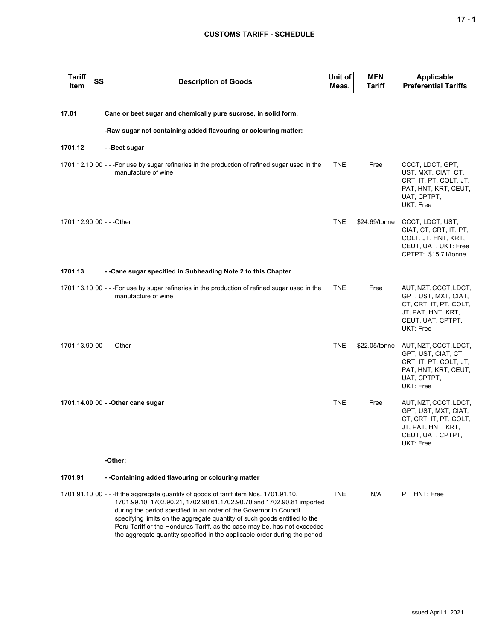# **CUSTOMS TARIFF - SCHEDULE**

| <b>Tariff</b><br><b>SS</b><br>Item | <b>Description of Goods</b>                                                                                                                                                                                                                                                                                                                                                                                                                                                   | Unit of<br>Meas. | <b>MFN</b><br><b>Tariff</b> | Applicable<br><b>Preferential Tariffs</b>                                                                                       |
|------------------------------------|-------------------------------------------------------------------------------------------------------------------------------------------------------------------------------------------------------------------------------------------------------------------------------------------------------------------------------------------------------------------------------------------------------------------------------------------------------------------------------|------------------|-----------------------------|---------------------------------------------------------------------------------------------------------------------------------|
|                                    |                                                                                                                                                                                                                                                                                                                                                                                                                                                                               |                  |                             |                                                                                                                                 |
| 17.01                              | Cane or beet sugar and chemically pure sucrose, in solid form.                                                                                                                                                                                                                                                                                                                                                                                                                |                  |                             |                                                                                                                                 |
|                                    | -Raw sugar not containing added flavouring or colouring matter:                                                                                                                                                                                                                                                                                                                                                                                                               |                  |                             |                                                                                                                                 |
| 1701.12                            | - -Beet sugar                                                                                                                                                                                                                                                                                                                                                                                                                                                                 |                  |                             |                                                                                                                                 |
|                                    | 1701.12.10 00 - - - For use by sugar refineries in the production of refined sugar used in the<br>manufacture of wine                                                                                                                                                                                                                                                                                                                                                         | <b>TNE</b>       | Free                        | CCCT, LDCT, GPT,<br>UST, MXT, CIAT, CT,<br>CRT, IT, PT, COLT, JT,<br>PAT, HNT, KRT, CEUT,<br>UAT, CPTPT,<br>UKT: Free           |
| 1701.12.90 00 - - - Other          |                                                                                                                                                                                                                                                                                                                                                                                                                                                                               | <b>TNE</b>       | \$24.69/tonne               | CCCT, LDCT, UST,<br>CIAT, CT, CRT, IT, PT,<br>COLT, JT, HNT, KRT,<br>CEUT, UAT, UKT: Free<br>CPTPT: \$15.71/tonne               |
| 1701.13                            | - -Cane sugar specified in Subheading Note 2 to this Chapter                                                                                                                                                                                                                                                                                                                                                                                                                  |                  |                             |                                                                                                                                 |
|                                    | 1701.13.10 00 - - - For use by sugar refineries in the production of refined sugar used in the<br>manufacture of wine                                                                                                                                                                                                                                                                                                                                                         | <b>TNE</b>       | Free                        | AUT, NZT, CCCT, LDCT,<br>GPT, UST, MXT, CIAT,<br>CT, CRT, IT, PT, COLT,<br>JT, PAT, HNT, KRT,<br>CEUT, UAT, CPTPT,<br>UKT: Free |
| 1701.13.90 00 - - - Other          |                                                                                                                                                                                                                                                                                                                                                                                                                                                                               | <b>TNE</b>       | \$22.05/tonne               | AUT, NZT, CCCT, LDCT,<br>GPT, UST, CIAT, CT,<br>CRT, IT, PT, COLT, JT,<br>PAT, HNT, KRT, CEUT,<br>UAT, CPTPT,<br>UKT: Free      |
|                                    | 1701.14.00 00 - - Other cane sugar                                                                                                                                                                                                                                                                                                                                                                                                                                            | <b>TNE</b>       | Free                        | AUT, NZT, CCCT, LDCT,<br>GPT, UST, MXT, CIAT,<br>CT, CRT, IT, PT, COLT,<br>JT, PAT, HNT, KRT,<br>CEUT, UAT, CPTPT,<br>UKT: Free |
|                                    | -Other:                                                                                                                                                                                                                                                                                                                                                                                                                                                                       |                  |                             |                                                                                                                                 |
| 1701.91                            | - -Containing added flavouring or colouring matter                                                                                                                                                                                                                                                                                                                                                                                                                            |                  |                             |                                                                                                                                 |
|                                    | 1701.91.10 00 - - - If the aggregate quantity of goods of tariff item Nos. 1701.91.10,<br>1701.99.10, 1702.90.21, 1702.90.61, 1702.90.70 and 1702.90.81 imported<br>during the period specified in an order of the Governor in Council<br>specifying limits on the aggregate quantity of such goods entitled to the<br>Peru Tariff or the Honduras Tariff, as the case may be, has not exceeded<br>the aggregate quantity specified in the applicable order during the period | <b>TNE</b>       | N/A                         | PT, HNT: Free                                                                                                                   |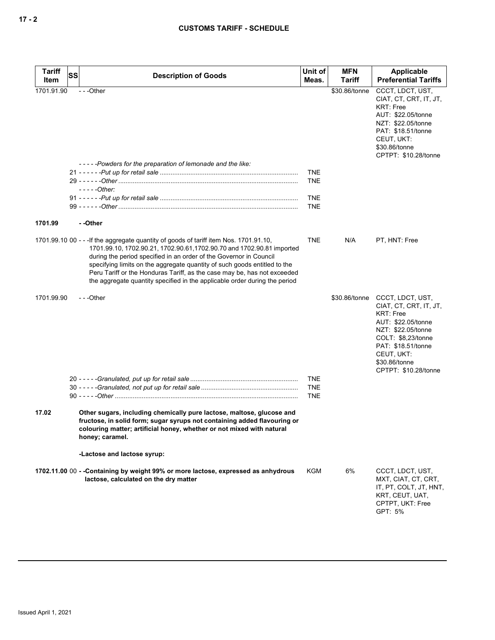| <b>Tariff</b><br>Item | SS | <b>Description of Goods</b>                                                                                                                                                                                                                                                                                                                                                                                                                                                   | Unit of<br>Meas.                | <b>MFN</b><br>Tariff | Applicable<br><b>Preferential Tariffs</b>                                                                                                                                                                     |
|-----------------------|----|-------------------------------------------------------------------------------------------------------------------------------------------------------------------------------------------------------------------------------------------------------------------------------------------------------------------------------------------------------------------------------------------------------------------------------------------------------------------------------|---------------------------------|----------------------|---------------------------------------------------------------------------------------------------------------------------------------------------------------------------------------------------------------|
| 1701.91.90            |    | ---Other<br>-----Powders for the preparation of lemonade and the like:                                                                                                                                                                                                                                                                                                                                                                                                        |                                 | \$30.86/tonne        | CCCT, LDCT, UST,<br>CIAT, CT, CRT, IT, JT,<br><b>KRT: Free</b><br>AUT: \$22.05/tonne<br>NZT: \$22.05/tonne<br>PAT: \$18.51/tonne<br>CEUT, UKT:<br>\$30.86/tonne<br>CPTPT: \$10.28/tonne                       |
|                       |    | $---Other:$                                                                                                                                                                                                                                                                                                                                                                                                                                                                   | TNE<br><b>TNE</b>               |                      |                                                                                                                                                                                                               |
|                       |    |                                                                                                                                                                                                                                                                                                                                                                                                                                                                               | <b>TNE</b><br><b>TNE</b>        |                      |                                                                                                                                                                                                               |
| 1701.99               |    | - -Other                                                                                                                                                                                                                                                                                                                                                                                                                                                                      |                                 |                      |                                                                                                                                                                                                               |
|                       |    | 1701.99.10 00 - - - If the aggregate quantity of goods of tariff item Nos. 1701.91.10,<br>1701.99.10, 1702.90.21, 1702.90.61, 1702.90.70 and 1702.90.81 imported<br>during the period specified in an order of the Governor in Council<br>specifying limits on the aggregate quantity of such goods entitled to the<br>Peru Tariff or the Honduras Tariff, as the case may be, has not exceeded<br>the aggregate quantity specified in the applicable order during the period | <b>TNE</b>                      | N/A                  | PT, HNT: Free                                                                                                                                                                                                 |
| 1701.99.90            |    | ---Other                                                                                                                                                                                                                                                                                                                                                                                                                                                                      |                                 | \$30.86/tonne        | CCCT, LDCT, UST,<br>CIAT, CT, CRT, IT, JT,<br><b>KRT: Free</b><br>AUT: \$22.05/tonne<br>NZT: \$22.05/tonne<br>COLT: \$8,23/tonne<br>PAT: \$18.51/tonne<br>CEUT, UKT:<br>\$30.86/tonne<br>CPTPT: \$10.28/tonne |
|                       |    |                                                                                                                                                                                                                                                                                                                                                                                                                                                                               | <b>TNE</b><br><b>TNE</b><br>TNE |                      |                                                                                                                                                                                                               |
| 17.02                 |    | Other sugars, including chemically pure lactose, maltose, glucose and<br>fructose, in solid form; sugar syrups not containing added flavouring or<br>colouring matter; artificial honey, whether or not mixed with natural<br>honey; caramel.                                                                                                                                                                                                                                 |                                 |                      |                                                                                                                                                                                                               |
|                       |    | -Lactose and lactose syrup:                                                                                                                                                                                                                                                                                                                                                                                                                                                   |                                 |                      |                                                                                                                                                                                                               |
|                       |    | 1702.11.00 00 - - Containing by weight 99% or more lactose, expressed as anhydrous<br>lactose, calculated on the dry matter                                                                                                                                                                                                                                                                                                                                                   | KGM                             | 6%                   | CCCT, LDCT, UST,<br>MXT, CIAT, CT, CRT,<br>IT, PT, COLT, JT, HNT,<br>KRT, CEUT, UAT,<br>CPTPT, UKT: Free<br>GPT: 5%                                                                                           |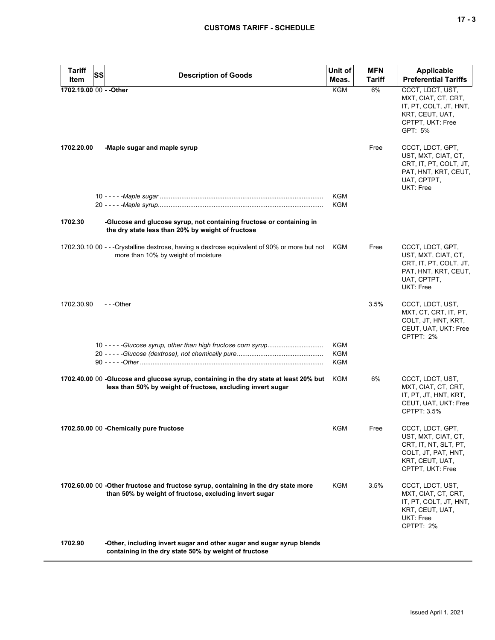| <b>Tariff</b>           | <b>SS</b><br><b>Description of Goods</b>                                                                                                              | Unit of                                | <b>MFN</b>    | <b>Applicable</b>                                                                                                              |
|-------------------------|-------------------------------------------------------------------------------------------------------------------------------------------------------|----------------------------------------|---------------|--------------------------------------------------------------------------------------------------------------------------------|
| Item                    |                                                                                                                                                       | Meas.                                  | <b>Tariff</b> | <b>Preferential Tariffs</b>                                                                                                    |
| 1702.19.00 00 - - Other |                                                                                                                                                       | <b>KGM</b>                             | 6%            | CCCT, LDCT, UST,<br>MXT, CIAT, CT, CRT,<br>IT, PT, COLT, JT, HNT,<br>KRT, CEUT, UAT,<br>CPTPT, UKT: Free<br>GPT: 5%            |
| 1702.20.00              | -Maple sugar and maple syrup                                                                                                                          |                                        | Free          | CCCT, LDCT, GPT,<br>UST, MXT, CIAT, CT,<br>CRT, IT, PT, COLT, JT,<br>PAT, HNT, KRT, CEUT,<br>UAT, CPTPT,<br>UKT: Free          |
|                         |                                                                                                                                                       | <b>KGM</b><br><b>KGM</b>               |               |                                                                                                                                |
| 1702.30                 | -Glucose and glucose syrup, not containing fructose or containing in<br>the dry state less than 20% by weight of fructose                             |                                        |               |                                                                                                                                |
|                         | 1702.30.10 00 - - -Crystalline dextrose, having a dextrose equivalent of 90% or more but not KGM<br>more than 10% by weight of moisture               |                                        | Free          | CCCT, LDCT, GPT,<br>UST, MXT, CIAT, CT,<br>CRT, IT, PT, COLT, JT,<br>PAT, HNT, KRT, CEUT,<br>UAT, CPTPT,<br>UKT: Free          |
| 1702.30.90              | $- -$ Other                                                                                                                                           |                                        | 3.5%          | CCCT, LDCT, UST,<br>MXT, CT, CRT, IT, PT,<br>COLT, JT, HNT, KRT,<br>CEUT, UAT, UKT: Free<br>CPTPT: 2%                          |
|                         |                                                                                                                                                       | <b>KGM</b><br><b>KGM</b><br><b>KGM</b> |               |                                                                                                                                |
|                         | 1702.40.00 00 -Glucose and glucose syrup, containing in the dry state at least 20% but<br>less than 50% by weight of fructose, excluding invert sugar | KGM                                    | 6%            | CCCT, LDCT, UST,<br>MXT, CIAT, CT, CRT,<br>IT, PT, JT, HNT, KRT,<br>CEUT, UAT, UKT: Free<br>CPTPT: 3.5%                        |
|                         | 1702.50.00 00 - Chemically pure fructose                                                                                                              | KGM                                    | Free          | CCCT, LDCT, GPT,<br>UST, MXT, CIAT, CT,<br>CRT, IT, NT, SLT, PT,<br>COLT, JT, PAT, HNT,<br>KRT, CEUT, UAT,<br>CPTPT, UKT: Free |
|                         | 1702.60.00 00 -Other fructose and fructose syrup, containing in the dry state more<br>than 50% by weight of fructose, excluding invert sugar          | KGM                                    | 3.5%          | CCCT, LDCT, UST,<br>MXT, CIAT, CT, CRT,<br>IT, PT, COLT, JT, HNT,<br>KRT, CEUT, UAT,<br>UKT: Free<br>CPTPT: 2%                 |
| 1702.90                 | -Other, including invert sugar and other sugar and sugar syrup blends<br>containing in the dry state 50% by weight of fructose                        |                                        |               |                                                                                                                                |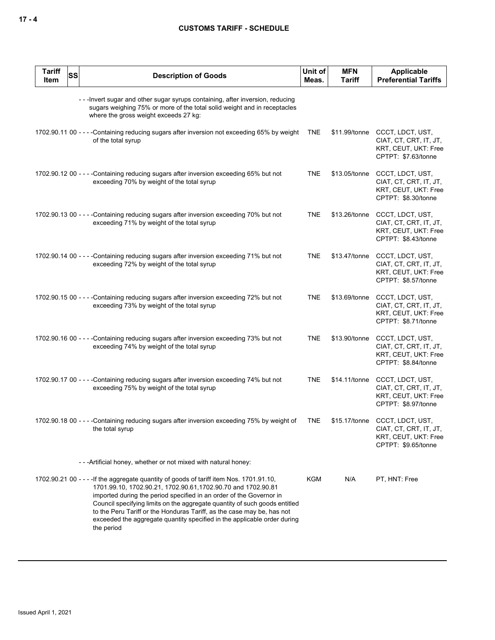| <b>Tariff</b><br>Item | <b>SS</b> | <b>Description of Goods</b>                                                                                                                                                                                                                                                                                                                                                                                                                                                        | Unit of<br>Meas. | <b>MFN</b><br>Tariff | Applicable<br><b>Preferential Tariffs</b>                                                               |
|-----------------------|-----------|------------------------------------------------------------------------------------------------------------------------------------------------------------------------------------------------------------------------------------------------------------------------------------------------------------------------------------------------------------------------------------------------------------------------------------------------------------------------------------|------------------|----------------------|---------------------------------------------------------------------------------------------------------|
|                       |           | ---Invert sugar and other sugar syrups containing, after inversion, reducing<br>sugars weighing 75% or more of the total solid weight and in receptacles<br>where the gross weight exceeds 27 kg:                                                                                                                                                                                                                                                                                  |                  |                      |                                                                                                         |
|                       |           | 1702.90.11 00 - - - - Containing reducing sugars after inversion not exceeding 65% by weight<br>of the total syrup                                                                                                                                                                                                                                                                                                                                                                 | <b>TNE</b>       | \$11.99/tonne        | CCCT, LDCT, UST,<br>CIAT, CT, CRT, IT, JT,<br>KRT, CEUT, UKT: Free<br>CPTPT: \$7.63/tonne               |
|                       |           | 1702.90.12 00 - - - - Containing reducing sugars after inversion exceeding 65% but not<br>exceeding 70% by weight of the total syrup                                                                                                                                                                                                                                                                                                                                               | <b>TNE</b>       | \$13.05/tonne        | CCCT, LDCT, UST,<br>CIAT, CT, CRT, IT, JT,<br>KRT, CEUT, UKT: Free<br>CPTPT: \$8.30/tonne               |
|                       |           | 1702.90.13 00 - - - - Containing reducing sugars after inversion exceeding 70% but not<br>exceeding 71% by weight of the total syrup                                                                                                                                                                                                                                                                                                                                               | <b>TNE</b>       | \$13.26/tonne        | CCCT, LDCT, UST,<br>CIAT, CT, CRT, IT, JT,<br>KRT, CEUT, UKT: Free<br>CPTPT: \$8.43/tonne               |
|                       |           | 1702.90.14 00 - - - - Containing reducing sugars after inversion exceeding 71% but not<br>exceeding 72% by weight of the total syrup                                                                                                                                                                                                                                                                                                                                               | <b>TNE</b>       | \$13.47/tonne        | CCCT, LDCT, UST,<br>CIAT, CT, CRT, IT, JT,<br>KRT, CEUT, UKT: Free<br>CPTPT: \$8.57/tonne               |
|                       |           | 1702.90.15 00 - - - - Containing reducing sugars after inversion exceeding 72% but not<br>exceeding 73% by weight of the total syrup                                                                                                                                                                                                                                                                                                                                               | <b>TNE</b>       | \$13.69/tonne        | CCCT, LDCT, UST,<br>CIAT, CT, CRT, IT, JT,<br>KRT, CEUT, UKT: Free<br>CPTPT: \$8.71/tonne               |
|                       |           | 1702.90.16 00 - - - - Containing reducing sugars after inversion exceeding 73% but not<br>exceeding 74% by weight of the total syrup                                                                                                                                                                                                                                                                                                                                               | <b>TNE</b>       | \$13.90/tonne        | CCCT, LDCT, UST,<br>CIAT, CT, CRT, IT, JT,<br>KRT, CEUT, UKT: Free<br>CPTPT: \$8.84/tonne               |
|                       |           | 1702.90.17 00 - - - - Containing reducing sugars after inversion exceeding 74% but not<br>exceeding 75% by weight of the total syrup                                                                                                                                                                                                                                                                                                                                               | <b>TNE</b>       | \$14.11/tonne        | CCCT, LDCT, UST,<br>CIAT, CT, CRT, IT, JT,<br>KRT, CEUT, UKT: Free<br>CPTPT: \$8.97/tonne               |
|                       |           | 1702.90.18 00 - - - - Containing reducing sugars after inversion exceeding 75% by weight of<br>the total syrup                                                                                                                                                                                                                                                                                                                                                                     | <b>TNE</b>       |                      | \$15.17/tonne CCCT, LDCT, UST,<br>CIAT, CT, CRT, IT, JT,<br>KRT, CEUT, UKT: Free<br>CPTPT: \$9.65/tonne |
|                       |           | --- Artificial honey, whether or not mixed with natural honey:                                                                                                                                                                                                                                                                                                                                                                                                                     |                  |                      |                                                                                                         |
|                       |           | 1702.90.21 00 - - - - If the aggregate quantity of goods of tariff item Nos. 1701.91.10,<br>1701.99.10, 1702.90.21, 1702.90.61, 1702.90.70 and 1702.90.81<br>imported during the period specified in an order of the Governor in<br>Council specifying limits on the aggregate quantity of such goods entitled<br>to the Peru Tariff or the Honduras Tariff, as the case may be, has not<br>exceeded the aggregate quantity specified in the applicable order during<br>the period | KGM              | N/A                  | PT, HNT: Free                                                                                           |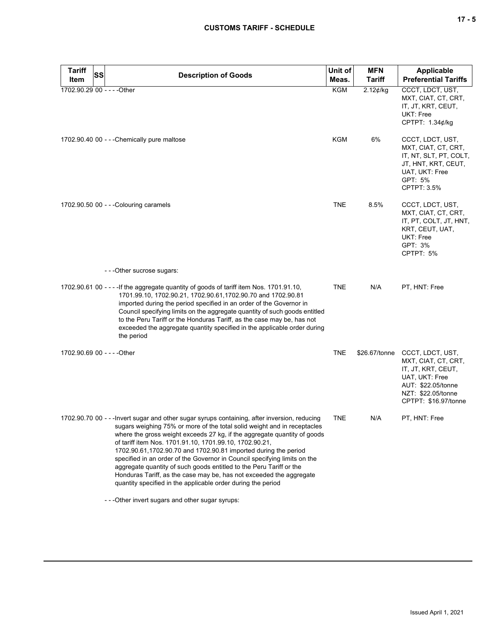|  |  | ×<br>۰. |
|--|--|---------|
|--|--|---------|

| Tariff<br><b>SS</b>         | <b>Description of Goods</b>                                                                                                                                                                                                                                                                                                                                                                                                                                                                                                                                                                                                                                                    | Unit of    | <b>MFN</b>    | <b>Applicable</b>                                                                                                                                   |
|-----------------------------|--------------------------------------------------------------------------------------------------------------------------------------------------------------------------------------------------------------------------------------------------------------------------------------------------------------------------------------------------------------------------------------------------------------------------------------------------------------------------------------------------------------------------------------------------------------------------------------------------------------------------------------------------------------------------------|------------|---------------|-----------------------------------------------------------------------------------------------------------------------------------------------------|
| Item                        |                                                                                                                                                                                                                                                                                                                                                                                                                                                                                                                                                                                                                                                                                | Meas.      | <b>Tariff</b> | <b>Preferential Tariffs</b>                                                                                                                         |
| 1702.90.29 00 - - - - Other |                                                                                                                                                                                                                                                                                                                                                                                                                                                                                                                                                                                                                                                                                | <b>KGM</b> | $2.12$ ¢/kg   | CCCT, LDCT, UST,<br>MXT, CIAT, CT, CRT,<br>IT, JT, KRT, CEUT,<br>UKT: Free<br>CPTPT: 1.34¢/kg                                                       |
|                             | 1702.90.40 00 - - - Chemically pure maltose                                                                                                                                                                                                                                                                                                                                                                                                                                                                                                                                                                                                                                    | <b>KGM</b> | 6%            | CCCT, LDCT, UST,<br>MXT, CIAT, CT, CRT,<br>IT, NT, SLT, PT, COLT,<br>JT, HNT, KRT, CEUT,<br>UAT, UKT: Free<br>GPT: 5%<br>CPTPT: 3.5%                |
|                             | 1702.90.50 00 - - - Colouring caramels                                                                                                                                                                                                                                                                                                                                                                                                                                                                                                                                                                                                                                         | <b>TNE</b> | 8.5%          | CCCT, LDCT, UST,<br>MXT, CIAT, CT, CRT,<br>IT, PT, COLT, JT, HNT,<br>KRT, CEUT, UAT,<br>UKT: Free<br>GPT: 3%<br>CPTPT: 5%                           |
|                             | ---Other sucrose sugars:                                                                                                                                                                                                                                                                                                                                                                                                                                                                                                                                                                                                                                                       |            |               |                                                                                                                                                     |
|                             | 1702.90.61 00 - - - - If the aggregate quantity of goods of tariff item Nos. 1701.91.10,<br>1701.99.10, 1702.90.21, 1702.90.61, 1702.90.70 and 1702.90.81<br>imported during the period specified in an order of the Governor in<br>Council specifying limits on the aggregate quantity of such goods entitled<br>to the Peru Tariff or the Honduras Tariff, as the case may be, has not<br>exceeded the aggregate quantity specified in the applicable order during<br>the period                                                                                                                                                                                             | <b>TNE</b> | N/A           | PT, HNT: Free                                                                                                                                       |
| 1702.90.69 00 - - - - Other |                                                                                                                                                                                                                                                                                                                                                                                                                                                                                                                                                                                                                                                                                | <b>TNE</b> | \$26.67/tonne | CCCT, LDCT, UST,<br>MXT, CIAT, CT, CRT,<br>IT, JT, KRT, CEUT,<br>UAT, UKT: Free<br>AUT: \$22.05/tonne<br>NZT: \$22.05/tonne<br>CPTPT: \$16.97/tonne |
|                             | 1702.90.70 00 - - - Invert sugar and other sugar syrups containing, after inversion, reducing<br>sugars weighing 75% or more of the total solid weight and in receptacles<br>where the gross weight exceeds 27 kg, if the aggregate quantity of goods<br>of tariff item Nos. 1701.91.10, 1701.99.10, 1702.90.21,<br>1702.90.61,1702.90.70 and 1702.90.81 imported during the period<br>specified in an order of the Governor in Council specifying limits on the<br>aggregate quantity of such goods entitled to the Peru Tariff or the<br>Honduras Tariff, as the case may be, has not exceeded the aggregate<br>quantity specified in the applicable order during the period | <b>TNE</b> | N/A           | PT, HNT: Free                                                                                                                                       |
|                             | - - - Other invert sugars and other sugar syrups:                                                                                                                                                                                                                                                                                                                                                                                                                                                                                                                                                                                                                              |            |               |                                                                                                                                                     |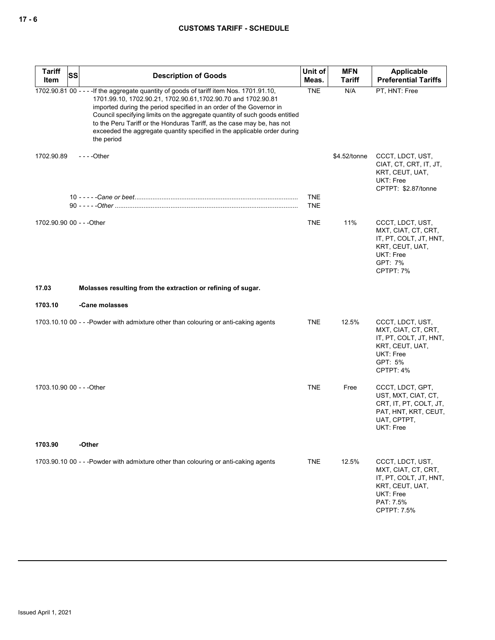# **CUSTOMS TARIFF - SCHEDULE**

| <b>Tariff</b><br>ltem     | <b>SS</b> | <b>Description of Goods</b>                                                                                                                                                                                                                                                                                                                                                                                                                                   | Unit of<br>Meas.         | <b>MFN</b><br>Tariff | Applicable<br><b>Preferential Tariffs</b>                                                                                     |
|---------------------------|-----------|---------------------------------------------------------------------------------------------------------------------------------------------------------------------------------------------------------------------------------------------------------------------------------------------------------------------------------------------------------------------------------------------------------------------------------------------------------------|--------------------------|----------------------|-------------------------------------------------------------------------------------------------------------------------------|
| 1702.90.81 00 - - -       |           | -If the aggregate quantity of goods of tariff item Nos. 1701.91.10,<br>1701.99.10, 1702.90.21, 1702.90.61, 1702.90.70 and 1702.90.81<br>imported during the period specified in an order of the Governor in<br>Council specifying limits on the aggregate quantity of such goods entitled<br>to the Peru Tariff or the Honduras Tariff, as the case may be, has not<br>exceeded the aggregate quantity specified in the applicable order during<br>the period | <b>TNE</b>               | N/A                  | PT, HNT: Free                                                                                                                 |
| 1702.90.89                |           | - - - - Other                                                                                                                                                                                                                                                                                                                                                                                                                                                 |                          | \$4.52/tonne         | CCCT, LDCT, UST,<br>CIAT, CT, CRT, IT, JT,<br>KRT, CEUT, UAT,<br>UKT: Free<br>CPTPT: \$2.87/tonne                             |
|                           |           |                                                                                                                                                                                                                                                                                                                                                                                                                                                               | <b>TNE</b><br><b>TNE</b> |                      |                                                                                                                               |
| 1702.90.90 00 - - - Other |           |                                                                                                                                                                                                                                                                                                                                                                                                                                                               | <b>TNE</b>               | 11%                  | CCCT, LDCT, UST,<br>MXT, CIAT, CT, CRT,<br>IT, PT, COLT, JT, HNT,<br>KRT, CEUT, UAT,<br>UKT: Free<br>GPT: 7%<br>CPTPT: 7%     |
| 17.03                     |           | Molasses resulting from the extraction or refining of sugar.                                                                                                                                                                                                                                                                                                                                                                                                  |                          |                      |                                                                                                                               |
| 1703.10                   |           | -Cane molasses                                                                                                                                                                                                                                                                                                                                                                                                                                                |                          |                      |                                                                                                                               |
|                           |           | 1703.10.10 00 - - - Powder with admixture other than colouring or anti-caking agents                                                                                                                                                                                                                                                                                                                                                                          | <b>TNE</b>               | 12.5%                | CCCT, LDCT, UST,<br>MXT, CIAT, CT, CRT,<br>IT, PT, COLT, JT, HNT,<br>KRT, CEUT, UAT,<br>UKT: Free<br>GPT: 5%<br>CPTPT: 4%     |
| 1703.10.90 00 - - - Other |           |                                                                                                                                                                                                                                                                                                                                                                                                                                                               | <b>TNE</b>               | Free                 | CCCT, LDCT, GPT,<br>UST, MXT, CIAT, CT,<br>CRT, IT, PT, COLT, JT,<br>PAT, HNT, KRT, CEUT,<br>UAT, CPTPT,<br>UKT: Free         |
| 1703.90                   |           | -Other                                                                                                                                                                                                                                                                                                                                                                                                                                                        |                          |                      |                                                                                                                               |
|                           |           | 1703.90.10 00 - - -Powder with admixture other than colouring or anti-caking agents                                                                                                                                                                                                                                                                                                                                                                           | <b>TNE</b>               | 12.5%                | CCCT, LDCT, UST,<br>MXT, CIAT, CT, CRT,<br>IT, PT, COLT, JT, HNT,<br>KRT, CEUT, UAT,<br>UKT: Free<br>PAT: 7.5%<br>CPTPT: 7.5% |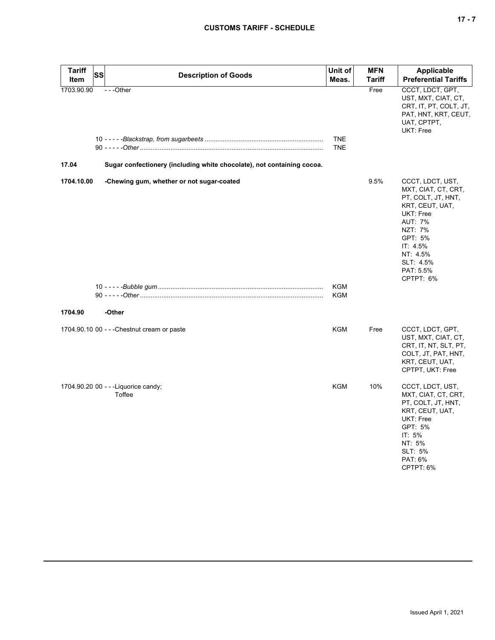| <b>Tariff</b><br><b>Item</b> | <b>SS</b> | <b>Description of Goods</b>                                                        | Unit of<br>Meas.  | <b>MFN</b><br>Tariff | <b>Applicable</b><br><b>Preferential Tariffs</b>                                                                                                                                                     |
|------------------------------|-----------|------------------------------------------------------------------------------------|-------------------|----------------------|------------------------------------------------------------------------------------------------------------------------------------------------------------------------------------------------------|
| 1703.90.90<br>17.04          |           | ---Other<br>Sugar confectionery (including white chocolate), not containing cocoa. | TNE<br><b>TNE</b> | Free                 | CCCT, LDCT, GPT,<br>UST, MXT, CIAT, CT,<br>CRT, IT, PT, COLT, JT,<br>PAT, HNT, KRT, CEUT,<br>UAT, CPTPT,<br>UKT: Free                                                                                |
| 1704.10.00                   |           | -Chewing gum, whether or not sugar-coated                                          | <b>KGM</b>        | 9.5%                 | CCCT, LDCT, UST,<br>MXT, CIAT, CT, CRT,<br>PT, COLT, JT, HNT,<br>KRT, CEUT, UAT,<br>UKT: Free<br><b>AUT: 7%</b><br>NZT: 7%<br>GPT: 5%<br>IT: 4.5%<br>NT: 4.5%<br>SLT: 4.5%<br>PAT: 5.5%<br>CPTPT: 6% |
| 1704.90                      |           | -Other                                                                             | <b>KGM</b>        |                      |                                                                                                                                                                                                      |
|                              |           | 1704.90.10 00 - - - Chestnut cream or paste                                        | <b>KGM</b>        | Free                 | CCCT, LDCT, GPT,<br>UST, MXT, CIAT, CT,<br>CRT, IT, NT, SLT, PT,<br>COLT, JT, PAT, HNT,<br>KRT, CEUT, UAT,<br>CPTPT, UKT: Free                                                                       |
|                              |           | 1704.90.20 00 - - - Liquorice candy;<br>Toffee                                     | <b>KGM</b>        | 10%                  | CCCT, LDCT, UST,<br>MXT, CIAT, CT, CRT,<br>PT, COLT, JT, HNT,<br>KRT, CEUT, UAT,<br>UKT: Free<br>GPT: 5%<br>IT: 5%<br>NT: 5%<br>SLT: 5%<br>PAT: 6%<br>CPTPT: 6%                                      |